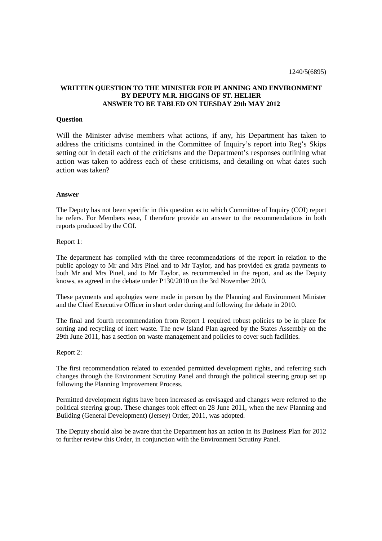# **WRITTEN QUESTION TO THE MINISTER FOR PLANNING AND ENVIRONMENT BY DEPUTY M.R. HIGGINS OF ST. HELIER ANSWER TO BE TABLED ON TUESDAY 29th MAY 2012**

## **Question**

Will the Minister advise members what actions, if any, his Department has taken to address the criticisms contained in the Committee of Inquiry's report into Reg's Skips setting out in detail each of the criticisms and the Department's responses outlining what action was taken to address each of these criticisms, and detailing on what dates such action was taken?

#### **Answer**

The Deputy has not been specific in this question as to which Committee of Inquiry (COI) report he refers. For Members ease, I therefore provide an answer to the recommendations in both reports produced by the COI.

## Report 1:

The department has complied with the three recommendations of the report in relation to the public apology to Mr and Mrs Pinel and to Mr Taylor, and has provided ex gratia payments to both Mr and Mrs Pinel, and to Mr Taylor, as recommended in the report, and as the Deputy knows, as agreed in the debate under P130/2010 on the 3rd November 2010.

These payments and apologies were made in person by the Planning and Environment Minister and the Chief Executive Officer in short order during and following the debate in 2010.

The final and fourth recommendation from Report 1 required robust policies to be in place for sorting and recycling of inert waste. The new Island Plan agreed by the States Assembly on the 29th June 2011, has a section on waste management and policies to cover such facilities.

### Report 2:

The first recommendation related to extended permitted development rights, and referring such changes through the Environment Scrutiny Panel and through the political steering group set up following the Planning Improvement Process.

Permitted development rights have been increased as envisaged and changes were referred to the political steering group. These changes took effect on 28 June 2011, when the new Planning and Building (General Development) (Jersey) Order, 2011, was adopted.

The Deputy should also be aware that the Department has an action in its Business Plan for 2012 to further review this Order, in conjunction with the Environment Scrutiny Panel.